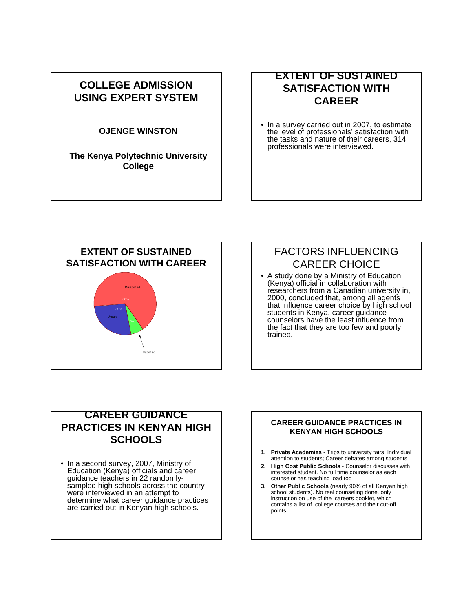## **COLLEGE ADMISSION USING EXPERT SYSTEM**

### **OJENGE WINSTON**

**The Kenya Polytechnic University College**

## **EXTENT OF SUSTAINED SATISFACTION WITH CAREER**

• In a survey carried out in 2007, to estimate the level of professionals' satisfaction with the tasks and nature of their careers, 314 professionals were interviewed.



# FACTORS INFLUENCING CAREER CHOICE

• A study done by a Ministry of Education (Kenya) official in collaboration with researchers from a Canadian university in, 2000, concluded that, among all agents that influence career choice by high school students in Kenya, career guidance counselors have the least influence from the fact that they are too few and poorly trained.

### **CAREER GUIDANCE PRACTICES IN KENYAN HIGH SCHOOLS**

• In a second survey, 2007, Ministry of Education (Kenya) officials and career guidance teachers in 22 randomlysampled high schools across the country were interviewed in an attempt to determine what career guidance practices are carried out in Kenyan high schools.

### **CAREER GUIDANCE PRACTICES IN KENYAN HIGH SCHOOLS**

- **1. Private Academies** Trips to university fairs; Individual attention to students; Career debates among students
- **2. High Cost Public Schools** Counselor discusses with interested student. No full time counselor as each counselor has teaching load too
- **3. Other Public Schools** (nearly 90% of all Kenyan high school students). No real counseling done, only instruction on use of the careers booklet, which contains a list of college courses and their cut-off points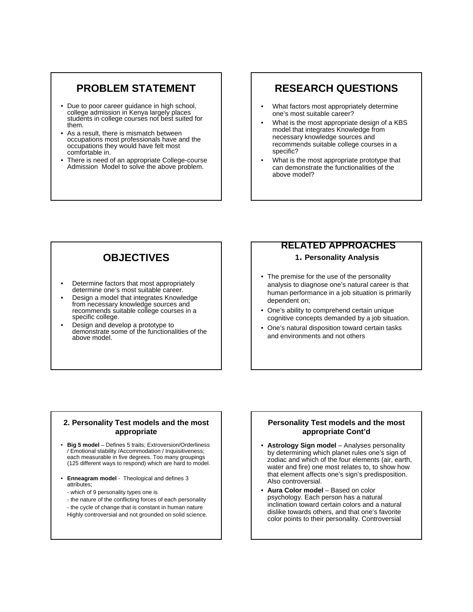### **PROBLEM STATEMENT**

- Due to poor career guidance in high school, college admission in Kenya largely places students in college courses not best suited for them.
- As a result, there is mismatch between occupations most professionals have and the occupations they would have felt most comfortable in.
- There is need of an appropriate College-course Admission Model to solve the above problem.

## **RESEARCH QUESTIONS**

- What factors most appropriately determine one's most suitable career?
- What is the most appropriate design of a KBS model that integrates Knowledge from necessary knowledge sources and recommends suitable college courses in a specific?
- What is the most appropriate prototype that can demonstrate the functionalities of the above model?

# **OBJECTIVES**

- Determine factors that most appropriately determine one's most suitable career.
- Design a model that integrates Knowledge from necessary knowledge sources and recommends suitable college courses in a specific college.
- Design and develop a prototype to demonstrate some of the functionalities of the above model.

# **RELATED APPROACHES**

#### **1. Personality Analysis**

- The premise for the use of the personality analysis to diagnose one's natural career is that human performance in a job situation is primarily dependent on;
- One's ability to comprehend certain unique cognitive concepts demanded by a job situation.
- One's natural disposition toward certain tasks and environments and not others

#### **2. Personality Test models and the most appropriate**

- **Big 5 model** Defines 5 traits; Extroversion/Orderliness / Emotional stability /Accommodation / Inquisitiveness; each measurable in five degrees. Too many groupings (125 different ways to respond) which are hard to model.
- **Enneagram model** Theological and defines 3 attributes;
- which of 9 personality types one is
- the nature of the conflicting forces of each personality
- the cycle of change that is constant in human nature Highly controversial and not grounded on solid science.

#### **Personality Test models and the most appropriate Cont'd**

- **Astrology Sign model** Analyses personality by determining which planet rules one's sign of zodiac and which of the four elements (air, earth, water and fire) one most relates to, to show how that element affects one's sign's predisposition. Also controversial.
- **Aura Color model** Based on color psychology. Each person has a natural inclination toward certain colors and a natural dislike towards others, and that one's favorite color points to their personality. Controversial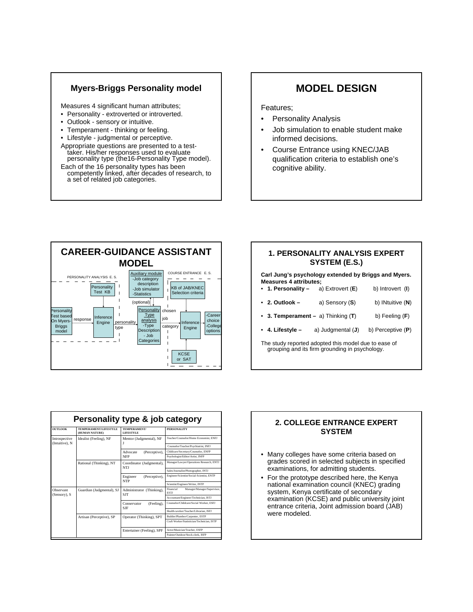### **Myers-Briggs Personality model**

Measures 4 significant human attributes;

- Personality extroverted or introverted.
- Outlook sensory or intuitive.
- Temperament thinking or feeling.
- Lifestyle judgmental or perceptive.
- Appropriate questions are presented to a testtaker. His/her responses used to evaluate personality type (the16-Personality Type model).
- Each of the 16 personality types has been competently linked, after decades of research, to a set of related job categories.

## **MODEL DESIGN**

#### Features;

- Personality Analysis
- Job simulation to enable student make informed decisions.
- Course Entrance using KNEC/JAB qualification criteria to establish one's cognitive ability.



| <u>1. PERSONALITY ANALYSIS EXPERT</u><br>SYSTEM (E.S.)                                                 |                                       |                     |  |  |
|--------------------------------------------------------------------------------------------------------|---------------------------------------|---------------------|--|--|
| Carl Jung's psychology extended by Briggs and Myers.<br><b>Measures 4 attributes:</b>                  |                                       |                     |  |  |
|                                                                                                        | • 1. Personality – a) Extrovert $(E)$ | b) Introvert (I)    |  |  |
| $\cdot$ 2. Outlook –                                                                                   | a) Sensory (S)                        | b) INtuitive $(N)$  |  |  |
| • 3. Temperament $-$ a) Thinking (T)                                                                   |                                       | b) Feeling $(F)$    |  |  |
| • 4. Lifestyle –                                                                                       | a) Judgmental (J)                     | b) Perceptive $(P)$ |  |  |
| The study reported adopted this model due to ease of<br>grouping and its firm grounding in psychology. |                                       |                     |  |  |

|                                 | Personality type & job category         |                                                        |                                                         |
|---------------------------------|-----------------------------------------|--------------------------------------------------------|---------------------------------------------------------|
| <b>OUTLOOK</b>                  | TEMPERAMENT/LIFESTYLE<br>(HUMAN NATURE) | TEMPERAMENT/<br><b>LIFESTYLE</b>                       | <b>PERSONALITY</b>                                      |
| Introspective<br>(Intuitive), N | Idealist (Feeling), NF                  | Mentor (Judgmental), NF                                | Teacher/Counselor/Home Economist, ENFJ                  |
|                                 |                                         |                                                        | Counselor/Teacher/Psychiatrist, INFJ                    |
|                                 |                                         | (Perceptive).<br>Advocate<br><b>NFP</b>                | Childcare/Secretary/Counselor, ENFP                     |
|                                 |                                         |                                                        | Psychologist/Editor/Artist, INFP                        |
|                                 | Rational (Thinking), NT                 | Coordinator (Judgmental),<br>NTJ                       | Manager/Lawyer/Operations Research, ENTJ                |
|                                 |                                         |                                                        | Sales/Journalist/Photographer, INTJ                     |
|                                 |                                         | Engineer<br>(Perceptive),<br><b>NTP</b>                | Engineer/Scientist/Social-Scientist, ENTP               |
|                                 |                                         |                                                        | Scientist/Engineer/Writer, INTP                         |
| Observant<br>(Sensory), S       | Guardian (Judgmental), SJ               | Administrator (Thinking),<br><b>SJT</b>                | Financial<br>Manager/Manager/Supervisor.<br><b>ESTI</b> |
|                                 |                                         |                                                        | Accountant/Engineer/Technician, ISTJ                    |
|                                 |                                         | (Feeling).<br>Conservator<br><b>SJF</b>                | Counselor/Childcare/Social Worker, ESFJ                 |
|                                 |                                         |                                                        | Health-worker/Teacher/Librarian, ISFJ                   |
|                                 | Artisan (Perceptive), SP                | Operator (Thinking), SPT<br>Entertainer (Feeling), SPF | Builder/Plumber/Carpenter, ESTP                         |
|                                 |                                         |                                                        | Craft Worker/Statistician/Technician, ISTP              |
|                                 |                                         |                                                        | Actor/Musician/Teacher, ESFP                            |
|                                 |                                         |                                                        | Painter/Outdoor/Stock-clerk_ISEP                        |

### **2. COLLEGE ENTRANCE EXPERT SYSTEM**

- Many colleges have some criteria based on grades scored in selected subjects in specified examinations, for admitting students.
- For the prototype described here, the Kenya national examination council (KNEC) grading system, Kenya certificate of secondary examination (KCSE) and public university joint entrance criteria, Joint admission board (JAB) were modeled.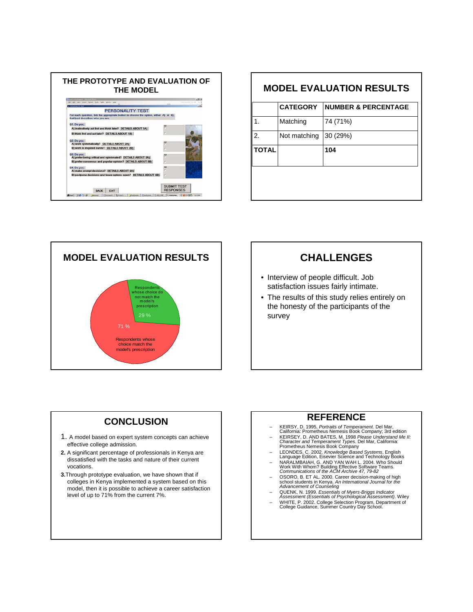

| <b>MODEL EVALUATION RESULTS</b> |                 |                                |  |
|---------------------------------|-----------------|--------------------------------|--|
|                                 | <b>CATEGORY</b> | <b>NUMBER &amp; PERCENTAGE</b> |  |
| 1.                              | Matching        | 74 (71%)                       |  |
| 2.                              | Not matching    | 30(29%)                        |  |
| <b>TOTAL</b>                    |                 | 104                            |  |
|                                 |                 |                                |  |
|                                 |                 |                                |  |
|                                 |                 |                                |  |



## **CHALLENGES**

- Interview of people difficult. Job satisfaction issues fairly intimate.
- The results of this study relies entirely on the honesty of the participants of the survey

### **CONCLUSION**

- 1. A model based on expert system concepts can achieve effective college admission.
- **2.** A significant percentage of professionals in Kenya are dissatisfied with the tasks and nature of their current vocations.
- **3.**Through prototype evaluation, we have shown that if colleges in Kenya implemented a system based on this model, then it is possible to achieve a career satisfaction level of up to 71% from the current 7%.

### **REFERENCE**

- 
- KEIRSY, D. 1995, *Portraits of Temperament*. Del Mar,<br>California: Prometheus Nemesis Book Company; 3rd edition<br>- KEIRSEY, D. AND BATES, M. 1998 *Please Understand Me II:<br>Character and Temperament Types. Del Mar, Californ*
- LEONDES, C. 2002. *Knowledge Based Systems*, English Language Edition, Eisevier Science and Technology Books
- NARALMBAIAH, G. AND YAN WAH L. 2004. Who Should Work With Whom? Building Effective Software Teams. *Communications of the ACM Archive 47, 79-82*
- OSORO, B. ET AL. 2000. Career decision-making of high school students in Kenya. *An International Journal for the*
- 
- Advancement of Counseling<br>- QUENK, N. 1999. Essentials of Myers-Briggs Indicator<br>Assessment (Essentials of Psychological Assessment). Wiley<br>- WHITE, P. 2002. College Selection Program, Department of<br>College Guidance, Summe